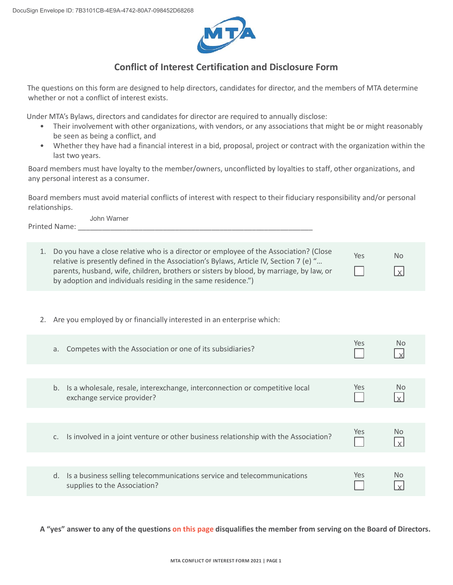

## **Conflict of Interest Certification and Disclosure Form**

The questions on this form are designed to help directors, candidates for director, and the members of MTA determine whether or not a conflict of interest exists.

Under MTA's Bylaws, directors and candidates for director are required to annually disclose:

- Their involvement with other organizations, with vendors, or any associations that might be or might reasonably be seen as being a conflict, and
- Whether they have had a financial interest in a bid, proposal, project or contract with the organization within the last two years.

Board members must have loyalty to the member/owners, unconflicted by loyalties to staff, other organizations, and any personal interest as a consumer.

Board members must avoid material conflicts of interest with respect to their fiduciary responsibility and/or personal relationships.

Printed Name: John Warner

| 1. Do you have a close relative who is a director or employee of the Association? (Close                                                                                          | Yes | <b>No</b>  |
|-----------------------------------------------------------------------------------------------------------------------------------------------------------------------------------|-----|------------|
| relative is presently defined in the Association's Bylaws, Article IV, Section 7 (e) "<br>parents, husband, wife, children, brothers or sisters by blood, by marriage, by law, or |     | $\sqrt{x}$ |
| by adoption and individuals residing in the same residence.")                                                                                                                     |     |            |

2. Are you employed by or financially interested in an enterprise which:

| Competes with the Association or one of its subsidiaries?<br>a.                                                 | Yes. | No.            |
|-----------------------------------------------------------------------------------------------------------------|------|----------------|
|                                                                                                                 |      |                |
| Is a wholesale, resale, interexchange, interconnection or competitive local<br>b.<br>exchange service provider? | Yes  | No.            |
|                                                                                                                 |      |                |
| Is involved in a joint venture or other business relationship with the Association?                             | Yes  | N <sub>o</sub> |
|                                                                                                                 |      |                |
| Is a business selling telecommunications service and telecommunications<br>d.<br>supplies to the Association?   | Yes. | No             |

**A "yes" answer to any of the questions on this page disqualifies the member from serving on the Board of Directors.**